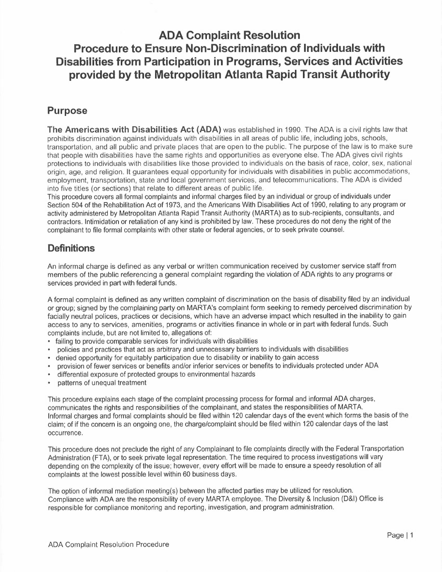## **ADA Complaint Resolution Procedure to Ensure Non-Discrimination of Individuals with Disabilities from Participation in Programs, Services and Activities provided by the Metropolitan Atlanta Rapid Transit Authority**

## **Purpose**

**The Americans with Disabilities Act (ADA)** was established in 1990. The ADA is a civil rights law that prohibits discrimination against individuals with disabilities in all areas of public life, including jobs, schools, transportation, and all public and private places that are open to the public. The purpose of the law is to make sure that people with disabilities have the same rights and opportunities as everyone else. The ADA gives civil rights protections to individuals with disabilities like those provided to individuals on the basis of race, color, sex, national origin, age, and religion. It guarantees equal opportunity for individuals with disabilities in public accommodations, employment, transportation, state and local government services, and telecommunications. The ADA is divided into five titles (or sections) that relate to different areas of public life.

This procedure covers all formal complaints and informal charges filed by an individual or group of individuals under Section 504 of the Rehabilitation Act of 1973, and the Americans With Disabilities Act of 1990, relating to any program or activity administered by Metropolitan Atlanta Rapid Transit Authority (MARTA) as to sub-recipients, consultants, and contractors. Intimidation or retaliation of any kind is prohibited by law. These procedures do not deny the right of the complainant to file formal complaints with other state or federal agencies, or to seek private counsel.

## **Definitions**

An informal charge is defined as any verbal or written communication received by customer service staff from members of the public referencing a general complaint regarding the violation of ADA rights to any programs or services provided in part with federal funds.

A formal complaint is defined as any written complaint of discrimination on the basis of disability filed by an individual or group; signed by the complaining party on MART A's complaint form seeking to remedy perceived discrimination by facially neutral polices, practices or decisions, which have an adverse impact which resulted in the inability to gain access to any to services, amenities, programs or activities finance in whole or in part with federal funds. Such complaints include, but are not limited to, allegations of:

- failing to provide comparable services for individuals with disabilities
- policies and practices that act as arbitrary and unnecessary barriers to individuals with disabilities
- denied opportunity for equitably participation due to disability or inability to gain access
- provision of fewer services or benefits and/or inferior services or benefits to individuals protected under ADA
- differential exposure of protected groups to environmental hazards
- patterns of unequal treatment

This procedure explains each stage of the complaint processing process for formal and informal ADA charges, communicates the rights and responsibilities of the complainant, and states the responsibilities of MART A. Informal charges and formal complaints should be filed within 120 calendar days of the event which forms the basis of the claim; of if the concern is an ongoing one, the charge/complaint should be filed within 120 calendar days of the last occurrence.

This procedure does not preclude the right of any Complainant to file complaints directly with the Federal Transportation Administration (FTA), or to seek private legal representation. The time required to process investigations will vary depending on the complexity of the issue; however, every effort will be made to ensure a speedy resolution of all complaints at the lowest possible level within 60 business days.

The option of informal mediation meeting(s) between the affected parties may be utilized for resolution. Compliance with ADA are the responsibility of every MARTA employee. The Diversity & Inclusion (D&I) Office is responsible for compliance monitoring and reporting, investigation, and program administration.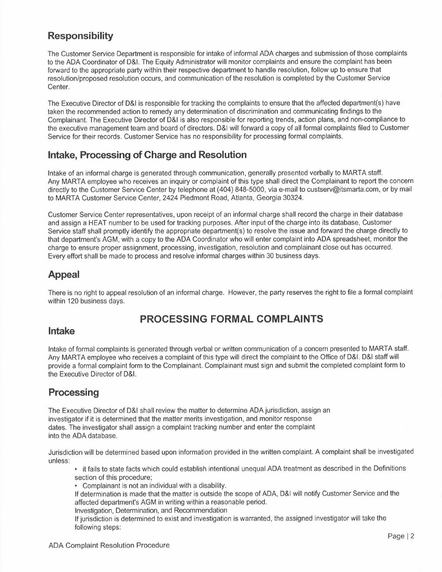## **Responsibility**

The Customer Service Department is responsible for intake of informal ADA charges and submission of those complaints to the ADA Coordinator of D&I. The Equity Administrator will monitor complaints and ensure the complaint has been forward to the appropriate party within their respective department to handle resolution, follow up to ensure that resolution/proposed resolution occurs, and communication of the resolution is completed by the Customer Service Center.

The Executive Director of D&I is responsible for tracking the complaints to ensure that the affected department(s) have taken the recommended action to remedy any determination of discrimination and communicating findings to the Complainant. The Executive Director of D&I is also responsible for reporting trends, action plans, and non-compliance to the executive management team and board of directors. D&I will forward a copy of all formal complaints filed to Customer Service for their records. Customer Service has no responsibility for processing formal complaints.

#### **Intake, Processing of Charge and Resolution**

Intake of an informal charge is generated through communication, generally presented verbally to MARTA staff. Any MARTA employee who receives an inquiry or complaint of this type shall direct the Complainant to report the concern directly to the Customer Service Center by telephone at (404) 848-5000, via e-mail to custserv@itsmarta.com, or by mail to MARTA Customer Service Center, 2424 Piedmont Road, Atlanta, Georgia 30324.

Customer Service Center representatives, upon receipt of an informal charge shall record the charge in their database and assign a HEAT number to be used for tracking purposes. After input of the charge into its database, Customer Service staff shall promptly identify the appropriate department(s) to resolve the issue and forward the charge directly to that department's AGM, with a copy to the ADA Coordinator who will enter complaint into ADA spreadsheet, monitor the charge to ensure proper assignment, processing, investigation, resolution and complainant close out has occurred. Every effort shall be made to process and resolve informal charges within 30 business days.

## **Appeal**

There is no right to appeal resolution of an informal charge. However, the party reserves the right to file a formal complaint within 120 business days.

## **PROCESSING FORMAL COMPLAINTS**

#### **Intake**

Intake of formal complaints is generated through verbal or written communication of a concern presented to MART A staff. Any MARTA employee who receives a complaint of this type will direct the complaint to the Office of D&I. D&I staff will provide a formal complaint form to the Complainant. Complainant must sign and submit the completed complaint form to the Executive Director of D&I.

## **Processing**

The Executive Director of D&I shall review the matter to determine ADA jurisdiction, assign an investigator if it is determined that the matter merits investigation, and monitor response dates. The investigator shall assign a complaint tracking number and enter the complaint into the ADA database.

Jurisdiction will be determined based upon information provided in the written complaint. A complaint shall be investigated unless:

• it fails to state facts which could establish intentional unequal ADA treatment as described in the Definitions section of this procedure;

• Complainant is not an individual with a disability.

If determination is made that the matter is outside the scope of ADA, D&I will notify Customer Service and the affected department's AGM in writing within a reasonable period.

Investigation, Determination, and Recommendation

If jurisdiction is determined to exist and investigation is warranted, the assigned investigator will take the following steps: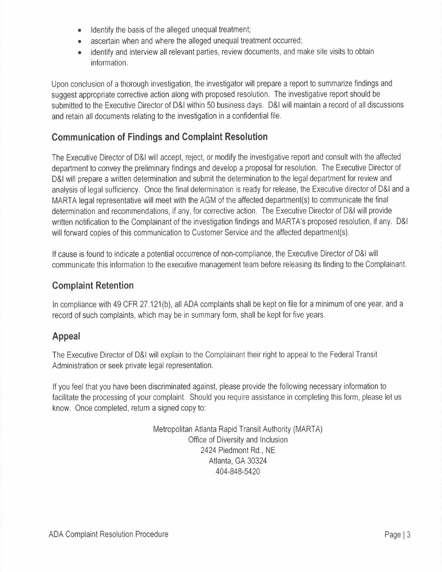- Identify the basis of the alleged unequal treatment;
- ascertain when and where the alleged unequal treatment occurred;
- identify and interview all relevant parties, review documents, and make site visits to obtain information.

Upon conclusion of a thorough investigation, the investigator will prepare a report to summarize findings and suggest appropriate corrective action along with proposed resolution. The investigative report should be submitted to the Executive Director of D&I within 50 business days. D&I will maintain a record of all discussions and retain all documents relating to the investigation in a confidential file.

## **Communication of Findings and Complaint Resolution**

The Executive Director of D&I will accept, reject, or modify the investigative report and consult with the affected department to convey the preliminary findings and develop a proposal for resolution. The Executive Director of D&I will prepare a written determination and submit the determination to the legal department for review and analysis of legal sufficiency. Once the final determination is ready for release, the Executive director of D&I and a MARTA legal representative will meet with the AGM of the affected department(s) to communicate the final determination and recommendations, if any, for corrective action. The Executive Director of D&I will provide written notification to the Complainant of the investigation findings and MARTA's proposed resolution, if any. D&I will forward copies of this communication to Customer Service and the affected department(s).

If cause is found to indicate a potential occurrence of non-compliance, the Executive Director of D&I will communicate this information to the executive management team before releasing its finding to the Complainant.

## **Complaint Retention**

In compliance with 49 CFR 27.121(b), all ADA complaints shall be kept on file for a minimum of one year, and a record of such complaints, which may be in summary form, shall be kept for five years.

## **Appeal**

The Executive Director of D&I will explain to the Complainant their right to appeal to the Federal Transit Administration or seek private legal representation.

If you feel that you have been discriminated against, please provide the following necessary information to facilitate the processing of your complaint. Should you require assistance in completing this form, please let us know. Once completed, return a signed copy to:

> Metropolitan Atlanta Rapid Transit Authority (MARTA) Office of Diversity and Inclusion 2424 Piedmont Rd., NE Atlanta, GA 30324 404-848-5420